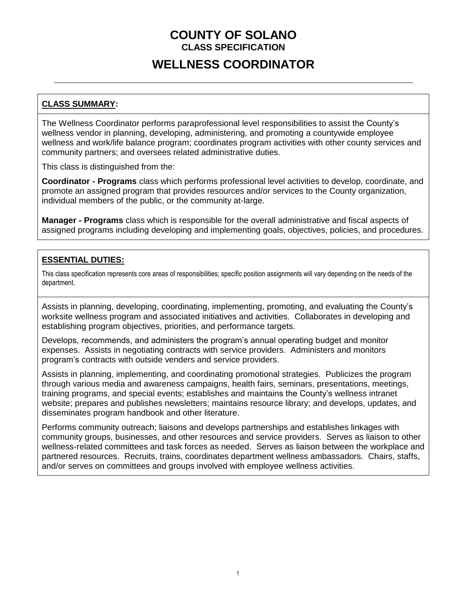## **COUNTY OF SOLANO CLASS SPECIFICATION**

# **WELLNESS COORDINATOR**

### **CLASS SUMMARY:**

The Wellness Coordinator performs paraprofessional level responsibilities to assist the County's wellness vendor in planning, developing, administering, and promoting a countywide employee wellness and work/life balance program; coordinates program activities with other county services and community partners; and oversees related administrative duties.

This class is distinguished from the:

**Coordinator - Programs** class which performs professional level activities to develop, coordinate, and promote an assigned program that provides resources and/or services to the County organization, individual members of the public, or the community at-large.

**Manager - Programs** class which is responsible for the overall administrative and fiscal aspects of assigned programs including developing and implementing goals, objectives, policies, and procedures.

### **ESSENTIAL DUTIES:**

This class specification represents core areas of responsibilities; specific position assignments will vary depending on the needs of the department.

Assists in planning, developing, coordinating, implementing, promoting, and evaluating the County's worksite wellness program and associated initiatives and activities. Collaborates in developing and establishing program objectives, priorities, and performance targets.

Develops, recommends, and administers the program's annual operating budget and monitor expenses. Assists in negotiating contracts with service providers. Administers and monitors program's contracts with outside venders and service providers.

Assists in planning, implementing, and coordinating promotional strategies. Publicizes the program through various media and awareness campaigns, health fairs, seminars, presentations, meetings, training programs, and special events; establishes and maintains the County's wellness intranet website; prepares and publishes newsletters; maintains resource library; and develops, updates, and disseminates program handbook and other literature.

Performs community outreach; liaisons and develops partnerships and establishes linkages with community groups, businesses, and other resources and service providers. Serves as liaison to other wellness-related committees and task forces as needed. Serves as liaison between the workplace and partnered resources. Recruits, trains, coordinates department wellness ambassadors. Chairs, staffs, and/or serves on committees and groups involved with employee wellness activities.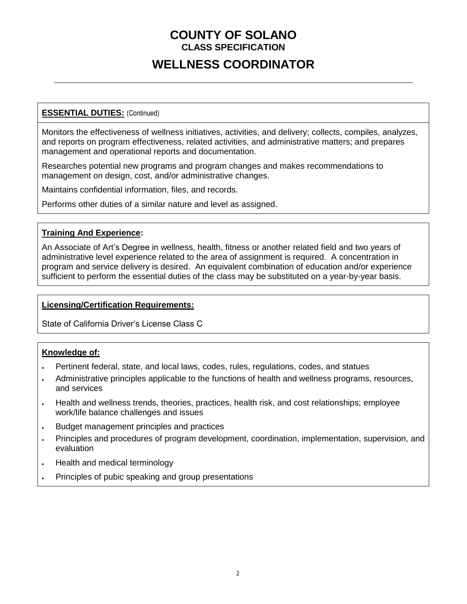## **COUNTY OF SOLANO CLASS SPECIFICATION**

# **WELLNESS COORDINATOR**

### **ESSENTIAL DUTIES:** (Continued)

Monitors the effectiveness of wellness initiatives, activities, and delivery; collects, compiles, analyzes, and reports on program effectiveness, related activities, and administrative matters; and prepares management and operational reports and documentation.

Researches potential new programs and program changes and makes recommendations to management on design, cost, and/or administrative changes.

Maintains confidential information, files, and records.

Performs other duties of a similar nature and level as assigned.

#### **Training And Experience:**

An Associate of Art's Degree in wellness, health, fitness or another related field and two years of administrative level experience related to the area of assignment is required. A concentration in program and service delivery is desired. An equivalent combination of education and/or experience sufficient to perform the essential duties of the class may be substituted on a year-by-year basis.

#### **Licensing/Certification Requirements:**

State of California Driver's License Class C

#### **Knowledge of:**

- Pertinent federal, state, and local laws, codes, rules, regulations, codes, and statues
- Administrative principles applicable to the functions of health and wellness programs, resources, and services
- Health and wellness trends, theories, practices, health risk, and cost relationships; employee work/life balance challenges and issues
- Budget management principles and practices
- Principles and procedures of program development, coordination, implementation, supervision, and evaluation
- . Health and medical terminology
- Principles of pubic speaking and group presentations